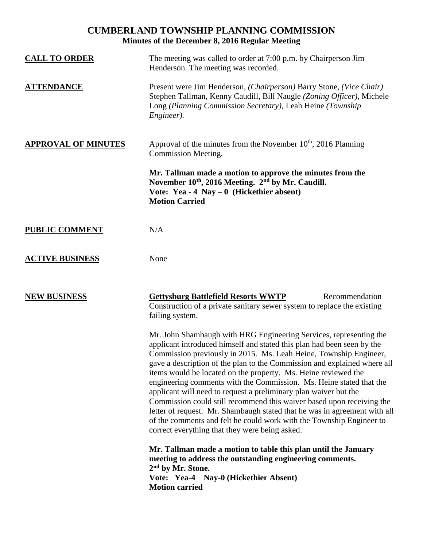# **CUMBERLAND TOWNSHIP PLANNING COMMISSION Minutes of the December 8, 2016 Regular Meeting**

| <b>CALL TO ORDER</b>       | The meeting was called to order at 7:00 p.m. by Chairperson Jim<br>Henderson. The meeting was recorded.                                                                                                                                                                                                                                                                                                                                                                                                                                                                                                                                                                                                                                                                                    |
|----------------------------|--------------------------------------------------------------------------------------------------------------------------------------------------------------------------------------------------------------------------------------------------------------------------------------------------------------------------------------------------------------------------------------------------------------------------------------------------------------------------------------------------------------------------------------------------------------------------------------------------------------------------------------------------------------------------------------------------------------------------------------------------------------------------------------------|
| <b>ATTENDANCE</b>          | Present were Jim Henderson, (Chairperson) Barry Stone, (Vice Chair)<br>Stephen Tallman, Kenny Caudill, Bill Naugle (Zoning Officer), Michele<br>Long (Planning Commission Secretary), Leah Heine (Township<br>Engineer).                                                                                                                                                                                                                                                                                                                                                                                                                                                                                                                                                                   |
| <b>APPROVAL OF MINUTES</b> | Approval of the minutes from the November 10 <sup>th</sup> , 2016 Planning<br>Commission Meeting.                                                                                                                                                                                                                                                                                                                                                                                                                                                                                                                                                                                                                                                                                          |
|                            | Mr. Tallman made a motion to approve the minutes from the<br>November 10th, 2016 Meeting. 2nd by Mr. Caudill.<br>Vote: Yea - $4$ Nay - $0$ (Hickethier absent)<br><b>Motion Carried</b>                                                                                                                                                                                                                                                                                                                                                                                                                                                                                                                                                                                                    |
| <b>PUBLIC COMMENT</b>      | N/A                                                                                                                                                                                                                                                                                                                                                                                                                                                                                                                                                                                                                                                                                                                                                                                        |
| <b>ACTIVE BUSINESS</b>     | None                                                                                                                                                                                                                                                                                                                                                                                                                                                                                                                                                                                                                                                                                                                                                                                       |
| <b>NEW BUSINESS</b>        | <b>Gettysburg Battlefield Resorts WWTP</b><br>Recommendation<br>Construction of a private sanitary sewer system to replace the existing<br>failing system.                                                                                                                                                                                                                                                                                                                                                                                                                                                                                                                                                                                                                                 |
|                            | Mr. John Shambaugh with HRG Engineering Services, representing the<br>applicant introduced himself and stated this plan had been seen by the<br>Commission previously in 2015. Ms. Leah Heine, Township Engineer,<br>gave a description of the plan to the Commission and explained where all<br>items would be located on the property. Ms. Heine reviewed the<br>engineering comments with the Commission. Ms. Heine stated that the<br>applicant will need to request a preliminary plan waiver but the<br>Commission could still recommend this waiver based upon receiving the<br>letter of request. Mr. Shambaugh stated that he was in agreement with all<br>of the comments and felt he could work with the Township Engineer to<br>correct everything that they were being asked. |
|                            | Mr. Tallman made a motion to table this plan until the January<br>meeting to address the outstanding engineering comments.<br>2 <sup>nd</sup> by Mr. Stone.<br>Vote: Yea-4 Nay-0 (Hickethier Absent)<br><b>Motion carried</b>                                                                                                                                                                                                                                                                                                                                                                                                                                                                                                                                                              |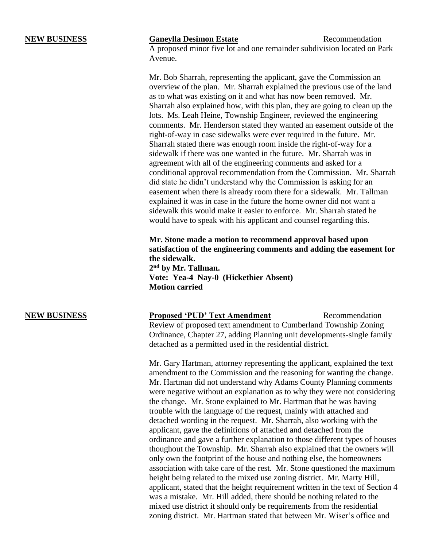### **NEW BUSINESS Ganeylla Desimon Estate** Recommendation

A proposed minor five lot and one remainder subdivision located on Park Avenue.

Mr. Bob Sharrah, representing the applicant, gave the Commission an overview of the plan. Mr. Sharrah explained the previous use of the land as to what was existing on it and what has now been removed. Mr. Sharrah also explained how, with this plan, they are going to clean up the lots. Ms. Leah Heine, Township Engineer, reviewed the engineering comments. Mr. Henderson stated they wanted an easement outside of the right-of-way in case sidewalks were ever required in the future. Mr. Sharrah stated there was enough room inside the right-of-way for a sidewalk if there was one wanted in the future. Mr. Sharrah was in agreement with all of the engineering comments and asked for a conditional approval recommendation from the Commission. Mr. Sharrah did state he didn't understand why the Commission is asking for an easement when there is already room there for a sidewalk. Mr. Tallman explained it was in case in the future the home owner did not want a sidewalk this would make it easier to enforce. Mr. Sharrah stated he would have to speak with his applicant and counsel regarding this.

**Mr. Stone made a motion to recommend approval based upon satisfaction of the engineering comments and adding the easement for the sidewalk.**

**2 nd by Mr. Tallman. Vote: Yea-4 Nay-0 (Hickethier Absent) Motion carried**

**NEW BUSINESS Proposed 'PUD' Text Amendment** Recommendation Review of proposed text amendment to Cumberland Township Zoning Ordinance, Chapter 27, adding Planning unit developments-single family detached as a permitted used in the residential district.

> Mr. Gary Hartman, attorney representing the applicant, explained the text amendment to the Commission and the reasoning for wanting the change. Mr. Hartman did not understand why Adams County Planning comments were negative without an explanation as to why they were not considering the change. Mr. Stone explained to Mr. Hartman that he was having trouble with the language of the request, mainly with attached and detached wording in the request. Mr. Sharrah, also working with the applicant, gave the definitions of attached and detached from the ordinance and gave a further explanation to those different types of houses thoughout the Township. Mr. Sharrah also explained that the owners will only own the footprint of the house and nothing else, the homeowners association with take care of the rest. Mr. Stone questioned the maximum height being related to the mixed use zoning district. Mr. Marty Hill, applicant, stated that the height requirement written in the text of Section 4 was a mistake. Mr. Hill added, there should be nothing related to the mixed use district it should only be requirements from the residential zoning district. Mr. Hartman stated that between Mr. Wiser's office and